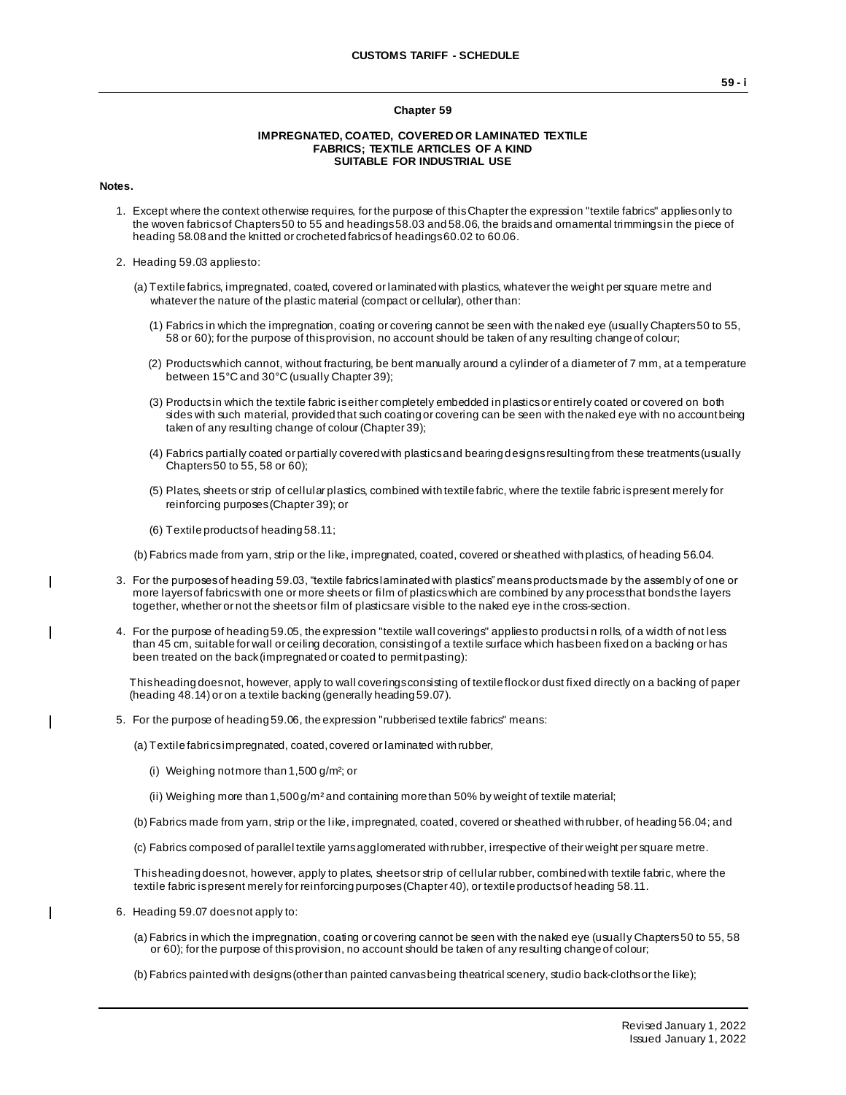#### **Chapter 59**

#### **IMPREGNATED, COATED, COVERED OR LAMINATED TEXTILE FABRICS; TEXTILE ARTICLES OF A KIND SUITABLE FOR INDUSTRIAL USE**

### **Notes.**

 $\overline{\phantom{a}}$ 

 $\mathbf{I}$ 

 $\overline{\phantom{a}}$ 

- 1. Except where the context otherwise requires, for the purpose of this Chapter the expression "textile fabrics" applies only to the woven fabrics of Chapters 50 to 55 and headings 58.03 and 58.06, the braids and ornamental trimmings in the piece of heading 58.08 and the knitted or crocheted fabrics of headings 60.02 to 60.06.
- 2. Heading 59.03 applies to:
	- (a) Textile fabrics, impregnated, coated, covered or laminated with plastics, whatever the weight per square metre and whatever the nature of the plastic material (compact or cellular), other than:
		- (1) Fabrics in which the impregnation, coating or covering cannot be seen with the naked eye (usually Chapters 50 to 55, 58 or 60); for the purpose of this provision, no account should be taken of any resulting change of colour;
		- (2) Products which cannot, without fracturing, be bent manually around a cylinder of a diameter of 7 mm, at a temperature between 15°C and 30°C (usually Chapter 39);
		- (3) Products in which the textile fabric is either completely embedded in plastics or entirely coated or covered on both sides with such material, provided that such coating or covering can be seen with the naked eye with no account being taken of any resulting change of colour (Chapter 39);
		- (4) Fabrics partially coated or partially covered with plastics and bearing designs resulting from these treatments (usually Chapters 50 to 55, 58 or 60);
		- (5) Plates, sheets or strip of cellular plastics, combined with textile fabric, where the textile fabric is present merely for reinforcing purposes (Chapter 39); or
		- (6) Textile products of heading 58.11;

(b) Fabrics made from yarn, strip or the like, impregnated, coated, covered or sheathed with plastics, of heading 56.04.

- 3. For the purposes of heading 59.03, "textile fabrics laminated with plastics" means products made by the assembly of one or more layers of fabrics with one or more sheets or film of plastics which are combined by any process that bonds the layers together, whether or not the sheets or film of plastics are visible to the naked eye in the cross-section.
- 4. For the purpose of heading 59.05, the expression "textile wall coverings" applies to products i n rolls, of a width of not less than 45 cm, suitable for wall or ceiling decoration, consisting of a textile surface which has been fixed on a backing or has been treated on the back (impregnated or coated to permit pasting):

This heading does not, however, apply to wall coverings consisting of textile flock or dust fixed directly on a backing of paper (heading 48.14) or on a textile backing (generally heading 59.07).

5. For the purpose of heading 59.06, the expression "rubberised textile fabrics" means:

(a) Textile fabrics impregnated, coated, covered or laminated with rubber,

- (i) Weighing not more than 1,500  $q/m^2$ ; or
- (ii) Weighing more than  $1,500$  g/m<sup>2</sup> and containing more than 50% by weight of textile material;
- (b) Fabrics made from yarn, strip or the l ike, impregnated, coated, covered or sheathed with rubber, of heading 56.04; and
- (c) Fabrics composed of parallel textile yarns agglomerated with rubber, irrespective of their weight per square metre.

This heading does not, however, apply to plates, sheets or strip of cellular rubber, combined with textile fabric, where the textile fabric is present merely for reinforcing purposes (Chapter 40), or textile products of heading 58.11.

- 6. Heading 59.07 does not apply to:
	- (a) Fabrics in which the impregnation, coating or covering cannot be seen with the naked eye (usually Chapters 50 to 55, 58 or 60); for the purpose of this provision, no account should be taken of any resulting change of colour;
	- (b) Fabrics painted with designs (other than painted canvas being theatrical scenery, studio back-cloths or the like);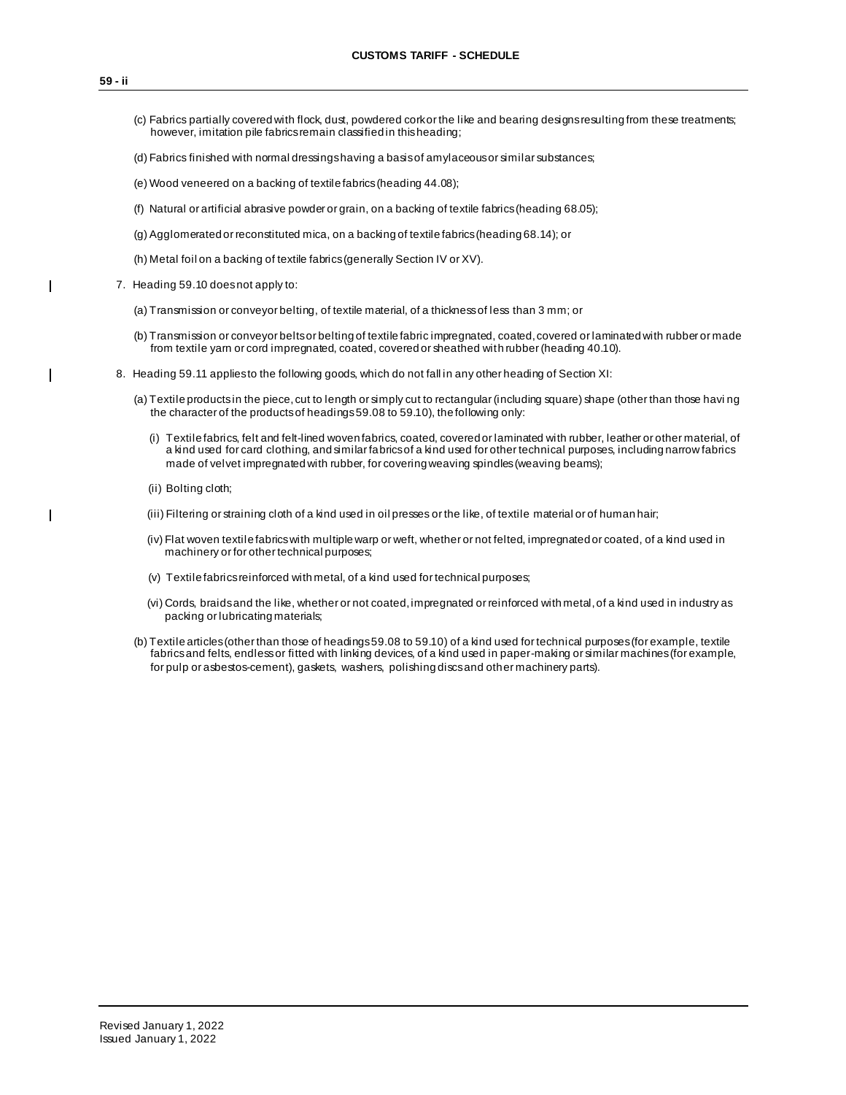I

 $\overline{\phantom{a}}$ 

 $\mathbf{I}$ 

- (c) Fabrics partially covered with flock, dust, powdered cork or the like and bearing designs resulting from these treatments; however, imitation pile fabrics remain classified in this heading;
- (d) Fabrics finished with normal dressings having a basis of amylaceous or similar substances;
- (e) Wood veneered on a backing of textile fabrics (heading 44.08);
- (f) Natural or artificial abrasive powder or grain, on a backing of textile fabrics (heading 68.05);
- (g) Agglomerated or reconstituted mica, on a backing of textile fabrics (heading 68.14); or
- (h) Metal foil on a backing of textile fabrics (generally Section IV or XV).
- 7. Heading 59.10 does not apply to:
	- (a) Transmission or conveyor belting, of textile material, of a thickness of less than 3 mm; or
	- (b) Transmission or conveyor belts or belting of textile fabric impregnated, coated, covered or laminated with rubber or made from textile yarn or cord impregnated, coated, covered or sheathed with rubber (heading 40.10).
	- 8. Heading 59.11 applies to the following goods, which do not fall in any other heading of Section XI:
		- (a) Textile products in the piece, cut to length or simply cut to rectangular (including square) shape (other than those havi ng the character of the products of headings 59.08 to 59.10), the following only:
			- (i) Textile fabrics, felt and felt-lined woven fabrics, coated, covered or laminated with rubber, leather or other material, of a kind used for card clothing, and similar fabrics of a kind used for other technical purposes, including narrow fabrics made of velvet impregnated with rubber, for covering weaving spindles (weaving beams);
			- (ii) Bolting cloth;
			- (iii) Filtering or straining cloth of a kind used in oil presses or the like, of textile material or of human hair;
			- (iv) Flat woven textile fabrics with multiple warp or weft, whether or not felted, impregnated or coated, of a kind used in machinery or for other technical purposes;
			- (v) Textile fabrics reinforced with metal, of a kind used for technical purposes;
			- (vi) Cords, braids and the like, whether or not coated, impregnated or reinforced with metal, of a kind used in industry as packing or lubricating materials;
		- (b) Textile articles (other than those of headings 59.08 to 59.10) of a kind used for technical purposes (for example, textile fabrics and felts, endless or fitted with linking devices, of a kind used in paper-making or similar machines (for example, for pulp or asbestos-cement), gaskets, washers, polishing discs and other machinery parts).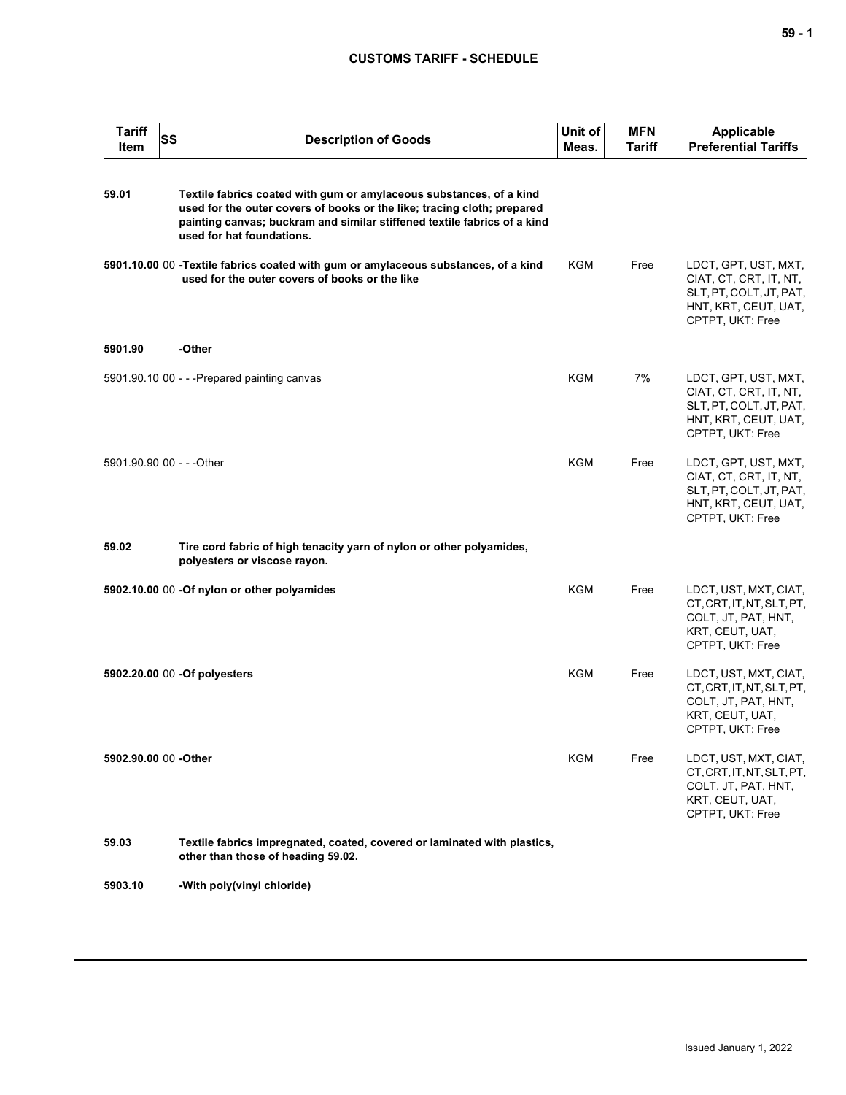## **CUSTOMS TARIFF - SCHEDULE**

| <b>Tariff</b><br><b>Item</b> | SS | <b>Description of Goods</b>                                                                                                                                                                                                                             | Unit of<br>Meas. | <b>MFN</b><br>Tariff | <b>Applicable</b><br><b>Preferential Tariffs</b>                                                                      |
|------------------------------|----|---------------------------------------------------------------------------------------------------------------------------------------------------------------------------------------------------------------------------------------------------------|------------------|----------------------|-----------------------------------------------------------------------------------------------------------------------|
| 59.01                        |    | Textile fabrics coated with gum or amylaceous substances, of a kind<br>used for the outer covers of books or the like; tracing cloth; prepared<br>painting canvas; buckram and similar stiffened textile fabrics of a kind<br>used for hat foundations. |                  |                      |                                                                                                                       |
|                              |    | 5901.10.00 00 -Textile fabrics coated with gum or amylaceous substances, of a kind<br>used for the outer covers of books or the like                                                                                                                    | <b>KGM</b>       | Free                 | LDCT, GPT, UST, MXT,<br>CIAT, CT, CRT, IT, NT,<br>SLT, PT, COLT, JT, PAT,<br>HNT, KRT, CEUT, UAT,<br>CPTPT, UKT: Free |
| 5901.90                      |    | -Other                                                                                                                                                                                                                                                  |                  |                      |                                                                                                                       |
|                              |    | 5901.90.10 00 - - - Prepared painting canvas                                                                                                                                                                                                            | <b>KGM</b>       | 7%                   | LDCT, GPT, UST, MXT,<br>CIAT, CT, CRT, IT, NT,<br>SLT, PT, COLT, JT, PAT,<br>HNT, KRT, CEUT, UAT,<br>CPTPT, UKT: Free |
| 5901.90.90 00 - - - Other    |    |                                                                                                                                                                                                                                                         | <b>KGM</b>       | Free                 | LDCT, GPT, UST, MXT,<br>CIAT, CT, CRT, IT, NT,<br>SLT, PT, COLT, JT, PAT,<br>HNT, KRT, CEUT, UAT,<br>CPTPT, UKT: Free |
| 59.02                        |    | Tire cord fabric of high tenacity yarn of nylon or other polyamides,<br>polyesters or viscose rayon.                                                                                                                                                    |                  |                      |                                                                                                                       |
|                              |    | 5902.10.00 00 -Of nylon or other polyamides                                                                                                                                                                                                             | KGM              | Free                 | LDCT, UST, MXT, CIAT,<br>CT, CRT, IT, NT, SLT, PT,<br>COLT, JT, PAT, HNT,<br>KRT, CEUT, UAT,<br>CPTPT, UKT: Free      |
|                              |    | 5902.20.00 00 -Of polyesters                                                                                                                                                                                                                            | <b>KGM</b>       | Free                 | LDCT, UST, MXT, CIAT,<br>CT, CRT, IT, NT, SLT, PT,<br>COLT, JT, PAT, HNT,<br>KRT, CEUT, UAT,<br>CPTPT, UKT: Free      |
| 5902.90.00 00 -Other         |    |                                                                                                                                                                                                                                                         | KGM              | Free                 | LDCT, UST, MXT, CIAT,<br>CT, CRT, IT, NT, SLT, PT,<br>COLT, JT, PAT, HNT,<br>KRT, CEUT, UAT,<br>CPTPT, UKT: Free      |
| 59.03                        |    | Textile fabrics impregnated, coated, covered or laminated with plastics,<br>other than those of heading 59.02.                                                                                                                                          |                  |                      |                                                                                                                       |
| 5903.10                      |    | -With poly(vinyl chloride)                                                                                                                                                                                                                              |                  |                      |                                                                                                                       |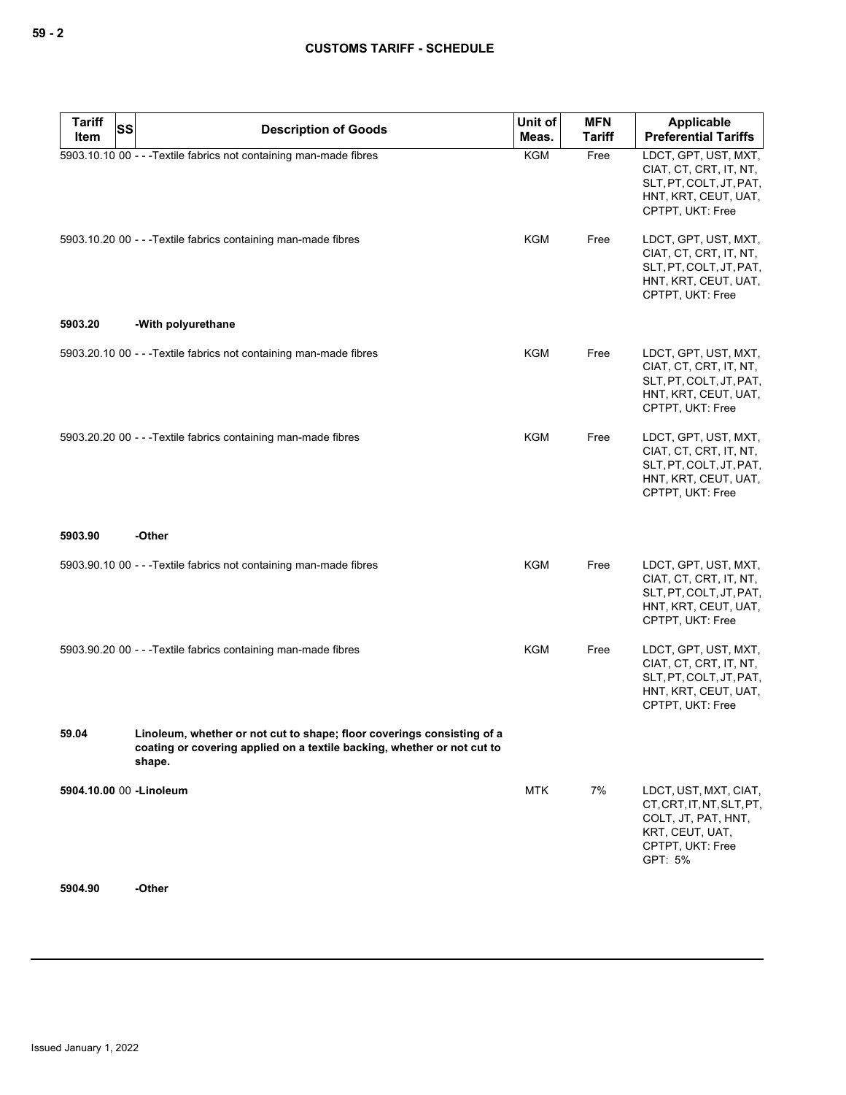| <b>Tariff</b><br><b>SS</b><br>Item | <b>Description of Goods</b>                                                                                                                                 | Unit of<br>Meas. | <b>MFN</b><br><b>Tariff</b> | <b>Applicable</b><br><b>Preferential Tariffs</b>                                                                            |
|------------------------------------|-------------------------------------------------------------------------------------------------------------------------------------------------------------|------------------|-----------------------------|-----------------------------------------------------------------------------------------------------------------------------|
|                                    | 5903.10.10 00 - - - Textile fabrics not containing man-made fibres                                                                                          | <b>KGM</b>       | Free                        | LDCT, GPT, UST, MXT,<br>CIAT, CT, CRT, IT, NT,<br>SLT, PT, COLT, JT, PAT,<br>HNT, KRT, CEUT, UAT,<br>CPTPT, UKT: Free       |
|                                    | 5903.10.20 00 - - - Textile fabrics containing man-made fibres                                                                                              | KGM              | Free                        | LDCT, GPT, UST, MXT,<br>CIAT, CT, CRT, IT, NT,<br>SLT, PT, COLT, JT, PAT,<br>HNT, KRT, CEUT, UAT,<br>CPTPT, UKT: Free       |
| 5903.20                            | -With polyurethane                                                                                                                                          |                  |                             |                                                                                                                             |
|                                    | 5903.20.10 00 - - - Textile fabrics not containing man-made fibres                                                                                          | <b>KGM</b>       | Free                        | LDCT, GPT, UST, MXT,<br>CIAT, CT, CRT, IT, NT,<br>SLT, PT, COLT, JT, PAT,<br>HNT, KRT, CEUT, UAT,<br>CPTPT, UKT: Free       |
|                                    | 5903.20.20 00 - - - Textile fabrics containing man-made fibres                                                                                              | KGM              | Free                        | LDCT, GPT, UST, MXT,<br>CIAT, CT, CRT, IT, NT,<br>SLT, PT, COLT, JT, PAT,<br>HNT, KRT, CEUT, UAT,<br>CPTPT, UKT: Free       |
| 5903.90                            | -Other                                                                                                                                                      |                  |                             |                                                                                                                             |
|                                    | 5903.90.10 00 - - - Textile fabrics not containing man-made fibres                                                                                          | KGM              | Free                        | LDCT, GPT, UST, MXT,<br>CIAT, CT, CRT, IT, NT,<br>SLT, PT, COLT, JT, PAT,<br>HNT, KRT, CEUT, UAT,<br>CPTPT, UKT: Free       |
|                                    | 5903.90.20 00 - - - Textile fabrics containing man-made fibres                                                                                              | KGM              | Free                        | LDCT, GPT, UST, MXT,<br>CIAT, CT, CRT, IT, NT,<br>SLT, PT, COLT, JT, PAT,<br>HNT, KRT, CEUT, UAT,<br>CPTPT, UKT: Free       |
| 59.04                              | Linoleum, whether or not cut to shape; floor coverings consisting of a<br>coating or covering applied on a textile backing, whether or not cut to<br>shape. |                  |                             |                                                                                                                             |
| 5904.10.00 00 - Linoleum           |                                                                                                                                                             | <b>MTK</b>       | 7%                          | LDCT, UST, MXT, CIAT,<br>CT, CRT, IT, NT, SLT, PT,<br>COLT, JT, PAT, HNT,<br>KRT, CEUT, UAT,<br>CPTPT, UKT: Free<br>GPT: 5% |
| 5904.90                            | -Other                                                                                                                                                      |                  |                             |                                                                                                                             |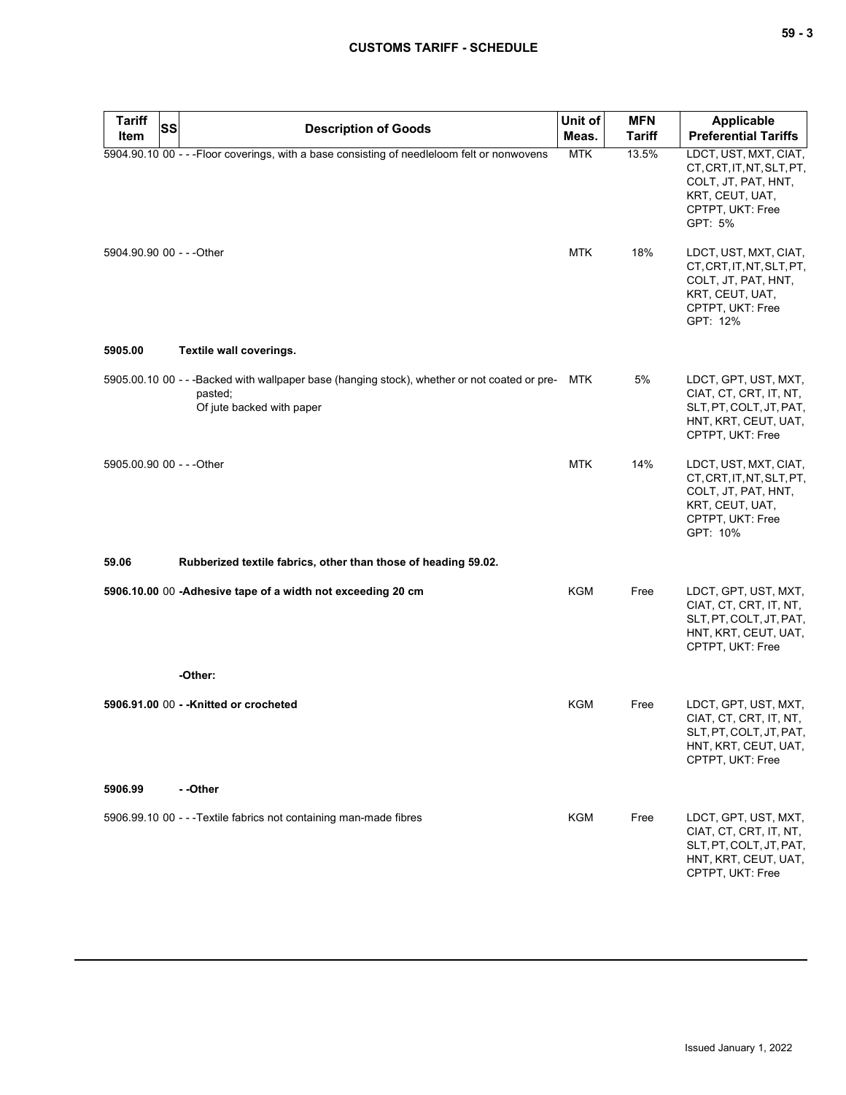# **CUSTOMS TARIFF - SCHEDULE**

| <b>Tariff</b><br>Item     | <b>SS</b> | <b>Description of Goods</b>                                                                                                          | Unit of<br>Meas. | <b>MFN</b><br><b>Tariff</b> | <b>Applicable</b><br><b>Preferential Tariffs</b>                                                                             |
|---------------------------|-----------|--------------------------------------------------------------------------------------------------------------------------------------|------------------|-----------------------------|------------------------------------------------------------------------------------------------------------------------------|
|                           |           | 5904.90.10 00 - - - Floor coverings, with a base consisting of needleloom felt or nonwovens                                          | <b>MTK</b>       | 13.5%                       | LDCT, UST, MXT, CIAT,<br>CT, CRT, IT, NT, SLT, PT,<br>COLT, JT, PAT, HNT,<br>KRT, CEUT, UAT,<br>CPTPT, UKT: Free<br>GPT: 5%  |
| 5904.90.90 00 - - - Other |           |                                                                                                                                      | MTK              | 18%                         | LDCT, UST, MXT, CIAT,<br>CT, CRT, IT, NT, SLT, PT,<br>COLT, JT, PAT, HNT,<br>KRT, CEUT, UAT,<br>CPTPT, UKT: Free<br>GPT: 12% |
| 5905.00                   |           | Textile wall coverings.                                                                                                              |                  |                             |                                                                                                                              |
|                           |           | 5905.00.10 00 - - -Backed with wallpaper base (hanging stock), whether or not coated or pre-<br>pasted;<br>Of jute backed with paper | MTK              | 5%                          | LDCT, GPT, UST, MXT,<br>CIAT, CT, CRT, IT, NT,<br>SLT, PT, COLT, JT, PAT,<br>HNT, KRT, CEUT, UAT,<br>CPTPT, UKT: Free        |
| 5905.00.90 00 - - - Other |           |                                                                                                                                      | <b>MTK</b>       | 14%                         | LDCT, UST, MXT, CIAT,<br>CT, CRT, IT, NT, SLT, PT,<br>COLT, JT, PAT, HNT,<br>KRT, CEUT, UAT,<br>CPTPT, UKT: Free<br>GPT: 10% |
| 59.06                     |           | Rubberized textile fabrics, other than those of heading 59.02.                                                                       |                  |                             |                                                                                                                              |
|                           |           | 5906.10.00 00 -Adhesive tape of a width not exceeding 20 cm                                                                          | <b>KGM</b>       | Free                        | LDCT, GPT, UST, MXT,<br>CIAT, CT, CRT, IT, NT,<br>SLT, PT, COLT, JT, PAT,<br>HNT, KRT, CEUT, UAT,<br>CPTPT, UKT: Free        |
|                           |           | -Other:                                                                                                                              |                  |                             |                                                                                                                              |
|                           |           | 5906.91.00 00 - - Knitted or crocheted                                                                                               | KGM              | Free                        | LDCT, GPT, UST, MXT,<br>CIAT, CT, CRT, IT, NT,<br>SLT, PT, COLT, JT, PAT,<br>HNT, KRT, CEUT, UAT,<br>CPTPT, UKT: Free        |
| 5906.99                   |           | - -Other                                                                                                                             |                  |                             |                                                                                                                              |
|                           |           | 5906.99.10 00 - - - Textile fabrics not containing man-made fibres                                                                   | <b>KGM</b>       | Free                        | LDCT, GPT, UST, MXT,<br>CIAT, CT, CRT, IT, NT,<br>SLT, PT, COLT, JT, PAT,<br>HNT, KRT, CEUT, UAT,<br>CPTPT, UKT: Free        |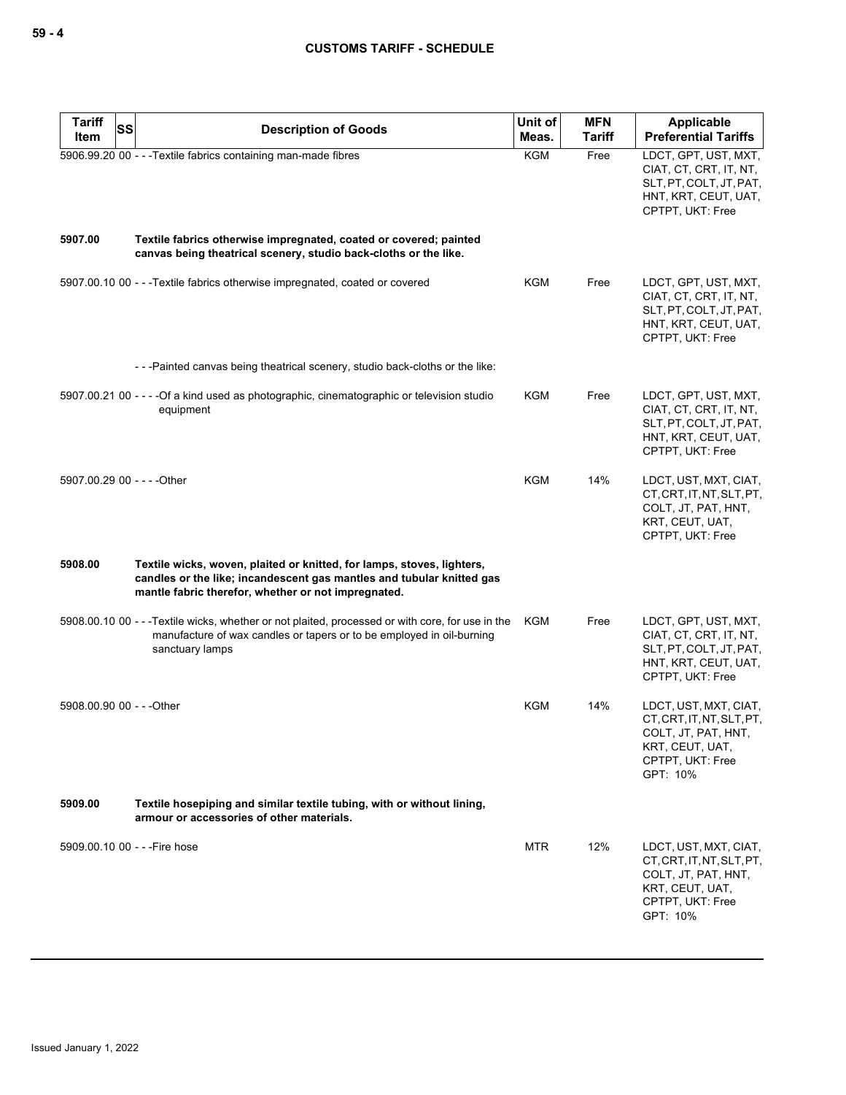| <b>Tariff</b><br><b>SS</b><br>Item | <b>Description of Goods</b>                                                                                                                                                                            | Unit of<br>Meas. | <b>MFN</b><br><b>Tariff</b> | Applicable<br><b>Preferential Tariffs</b>                                                                                    |
|------------------------------------|--------------------------------------------------------------------------------------------------------------------------------------------------------------------------------------------------------|------------------|-----------------------------|------------------------------------------------------------------------------------------------------------------------------|
|                                    | 5906.99.20 00 - - - Textile fabrics containing man-made fibres                                                                                                                                         | <b>KGM</b>       | Free                        | LDCT, GPT, UST, MXT,<br>CIAT, CT, CRT, IT, NT,<br>SLT, PT, COLT, JT, PAT,<br>HNT, KRT, CEUT, UAT,<br>CPTPT, UKT: Free        |
| 5907.00                            | Textile fabrics otherwise impregnated, coated or covered; painted<br>canvas being theatrical scenery, studio back-cloths or the like.                                                                  |                  |                             |                                                                                                                              |
|                                    | 5907.00.10 00 - - - Textile fabrics otherwise impregnated, coated or covered                                                                                                                           | KGM              | Free                        | LDCT, GPT, UST, MXT,<br>CIAT, CT, CRT, IT, NT,<br>SLT, PT, COLT, JT, PAT,<br>HNT, KRT, CEUT, UAT,<br>CPTPT, UKT: Free        |
|                                    | ---Painted canvas being theatrical scenery, studio back-cloths or the like:                                                                                                                            |                  |                             |                                                                                                                              |
|                                    | 5907.00.21 00 - - - - Of a kind used as photographic, cinematographic or television studio<br>equipment                                                                                                | <b>KGM</b>       | Free                        | LDCT, GPT, UST, MXT,<br>CIAT, CT, CRT, IT, NT,<br>SLT, PT, COLT, JT, PAT,<br>HNT, KRT, CEUT, UAT,<br>CPTPT, UKT: Free        |
| 5907.00.29 00 - - - - Other        |                                                                                                                                                                                                        | <b>KGM</b>       | 14%                         | LDCT, UST, MXT, CIAT,<br>CT.CRT.IT.NT.SLT.PT.<br>COLT, JT, PAT, HNT,<br>KRT, CEUT, UAT,<br>CPTPT, UKT: Free                  |
| 5908.00                            | Textile wicks, woven, plaited or knitted, for lamps, stoves, lighters,<br>candles or the like; incandescent gas mantles and tubular knitted gas<br>mantle fabric therefor, whether or not impregnated. |                  |                             |                                                                                                                              |
|                                    | 5908.00.10 00 - - - Textile wicks, whether or not plaited, processed or with core, for use in the<br>manufacture of wax candles or tapers or to be employed in oil-burning<br>sanctuary lamps          | <b>KGM</b>       | Free                        | LDCT, GPT, UST, MXT,<br>CIAT, CT, CRT, IT, NT,<br>SLT, PT, COLT, JT, PAT,<br>HNT, KRT, CEUT, UAT,<br>CPTPT, UKT: Free        |
| 5908.00.90 00 - - - Other          |                                                                                                                                                                                                        | <b>KGM</b>       | 14%                         | LDCT, UST, MXT, CIAT,<br>CT, CRT, IT, NT, SLT, PT,<br>COLT, JT, PAT, HNT,<br>KRT, CEUT, UAT,<br>CPTPT, UKT: Free<br>GPT: 10% |
| 5909.00                            | Textile hosepiping and similar textile tubing, with or without lining,<br>armour or accessories of other materials.                                                                                    |                  |                             |                                                                                                                              |
| 5909.00.10 00 - - - Fire hose      |                                                                                                                                                                                                        | <b>MTR</b>       | 12%                         | LDCT, UST, MXT, CIAT,<br>CT, CRT, IT, NT, SLT, PT,<br>COLT, JT, PAT, HNT,<br>KRT, CEUT, UAT,<br>CPTPT, UKT: Free<br>GPT: 10% |